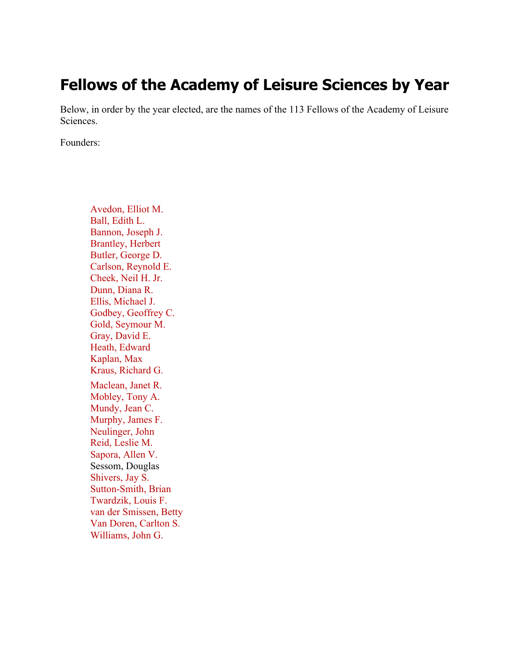## **Fellows of the Academy of Leisure Sciences by Year**

Below, in order by the year elected, are the names of the 113 Fellows of the Academy of Leisure Sciences.

Founders:

Avedon, Elliot M. Ball, Edith L. Bannon, Joseph J. Brantley, Herbert Butler, George D. Carlson, Reynold E. Cheek, Neil H. Jr. Dunn, Diana R. Ellis, Michael J. Godbey, Geoffrey C. Gold, Seymour M. Gray, David E. Heath, Edward Kaplan, Max Kraus, Richard G. Maclean, Janet R. Mobley, Tony A. Mundy, Jean C. Murphy, James F. Neulinger, John Reid, Leslie M. Sapora, Allen V. Sessom, Douglas Shivers, Jay S. Sutton-Smith, Brian Twardzik, Louis F. van der Smissen, Betty Van Doren, Carlton S. Williams, John G.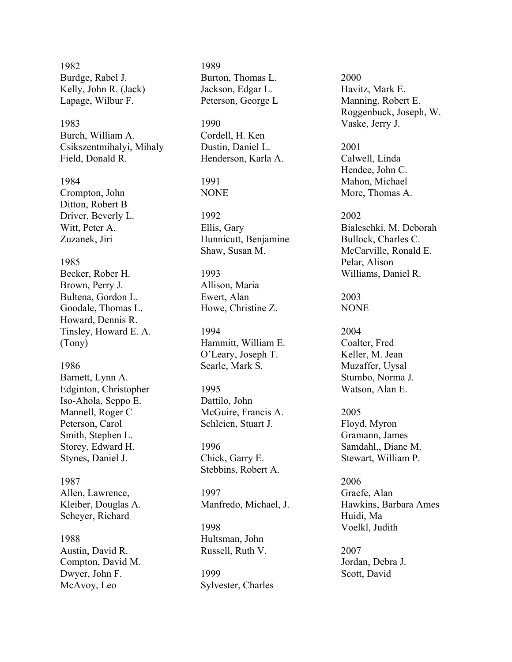1982 Burdge, Rabel J. Kelly, John R. (Jack) Lapage, Wilbur F.

1983 Burch, William A. Csikszentmihalyi, Mihaly Field, Donald R.

1984 Crompton, John Ditton, Robert B Driver, Beverly L. Witt, Peter A. Zuzanek, Jiri

## 1985

Becker, Rober H. Brown, Perry J. Bultena, Gordon L. Goodale, Thomas L. Howard, Dennis R. Tinsley, Howard E. A. (Tony)

1986

Barnett, Lynn A. Edginton, Christopher Iso -Ahola, Seppo E. Mannell, Roger C Peterson, Carol Smith, Stephen L. Storey, Edward H. Stynes, Daniel J.

1987 Allen, Lawrence, Kleiber, Douglas A. Scheyer, Richard

1988 Austin, David R. Compton, David M. Dwyer, John F. McAvoy, Leo

1989 Burton, Thomas L. Jackson, Edgar L. Peterson, George L

1990 Cordell, H. Ken Dustin, Daniel L. Henderson, Karla A.

1991 NONE

1992 Ellis, Gary Hunnicutt, Benjamine Shaw, Susan M.

1993 Allison, Maria Ewert, Alan Howe, Christine Z.

1994 Hammitt, William E. O'Leary, Joseph T. Searle, Mark S.

1995 Dattilo, John McGuire, Francis A. Schleien, Stuart J.

1996 Chick, Garry E. Stebbins, Robert A.

1997 Manfredo, Michael, J.

1998 Hultsman, John Russell, Ruth V.

1999 Sylvester, Charles 2000 Havitz, Mark E. Manning, Robert E. Roggenbuck, Joseph, W. Vaske, Jerry J.

2001 Calwell, Linda Hendee, John C. Mahon, Michael More, Thomas A.

2002 Bialeschki, M. Deborah Bullock, Charles C. McCarville, Ronald E. Pelar, Alison Williams, Daniel R.

2003 NONE

2004 Coalter, Fred Keller, M. Jean Muzaffer, Uysal Stumbo, Norma J. Watson, Alan E.

2005 Floyd, Myron Gramann, James Samdahl,, Diane M. Stewart, William P.

2006 Graefe, Alan Hawkins, Barbara Ames Huidi, Ma Voelkl, Judith

2007 Jordan, Debra J. Scott, David